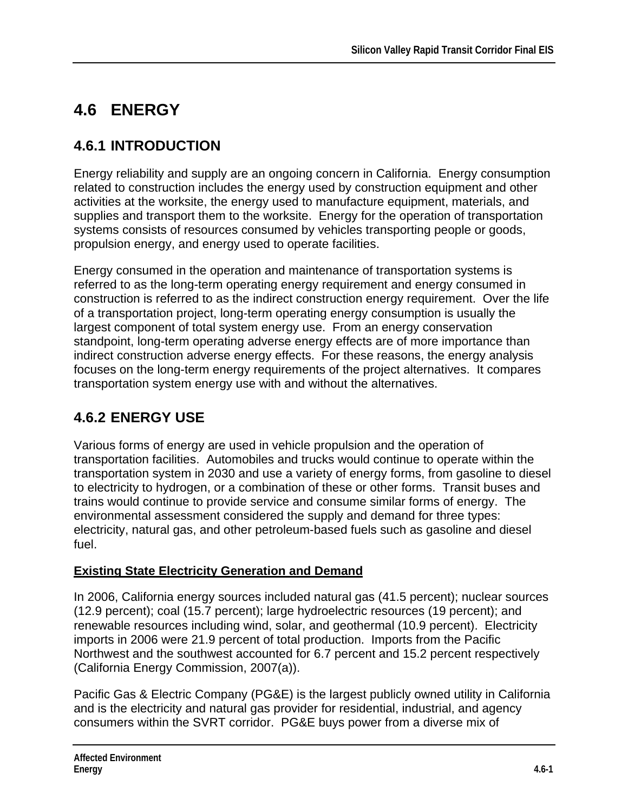# **4.6 ENERGY**

## **4.6.1 INTRODUCTION**

Energy reliability and supply are an ongoing concern in California. Energy consumption related to construction includes the energy used by construction equipment and other activities at the worksite, the energy used to manufacture equipment, materials, and supplies and transport them to the worksite. Energy for the operation of transportation systems consists of resources consumed by vehicles transporting people or goods, propulsion energy, and energy used to operate facilities.

Energy consumed in the operation and maintenance of transportation systems is referred to as the long-term operating energy requirement and energy consumed in construction is referred to as the indirect construction energy requirement. Over the life of a transportation project, long-term operating energy consumption is usually the largest component of total system energy use. From an energy conservation standpoint, long-term operating adverse energy effects are of more importance than indirect construction adverse energy effects. For these reasons, the energy analysis focuses on the long-term energy requirements of the project alternatives. It compares transportation system energy use with and without the alternatives.

## **4.6.2 ENERGY USE**

Various forms of energy are used in vehicle propulsion and the operation of transportation facilities. Automobiles and trucks would continue to operate within the transportation system in 2030 and use a variety of energy forms, from gasoline to diesel to electricity to hydrogen, or a combination of these or other forms. Transit buses and trains would continue to provide service and consume similar forms of energy. The environmental assessment considered the supply and demand for three types: electricity, natural gas, and other petroleum-based fuels such as gasoline and diesel fuel.

### **Existing State Electricity Generation and Demand**

In 2006, California energy sources included natural gas (41.5 percent); nuclear sources (12.9 percent); coal (15.7 percent); large hydroelectric resources (19 percent); and renewable resources including wind, solar, and geothermal (10.9 percent). Electricity imports in 2006 were 21.9 percent of total production. Imports from the Pacific Northwest and the southwest accounted for 6.7 percent and 15.2 percent respectively (California Energy Commission, 2007(a)).

Pacific Gas & Electric Company (PG&E) is the largest publicly owned utility in California and is the electricity and natural gas provider for residential, industrial, and agency consumers within the SVRT corridor. PG&E buys power from a diverse mix of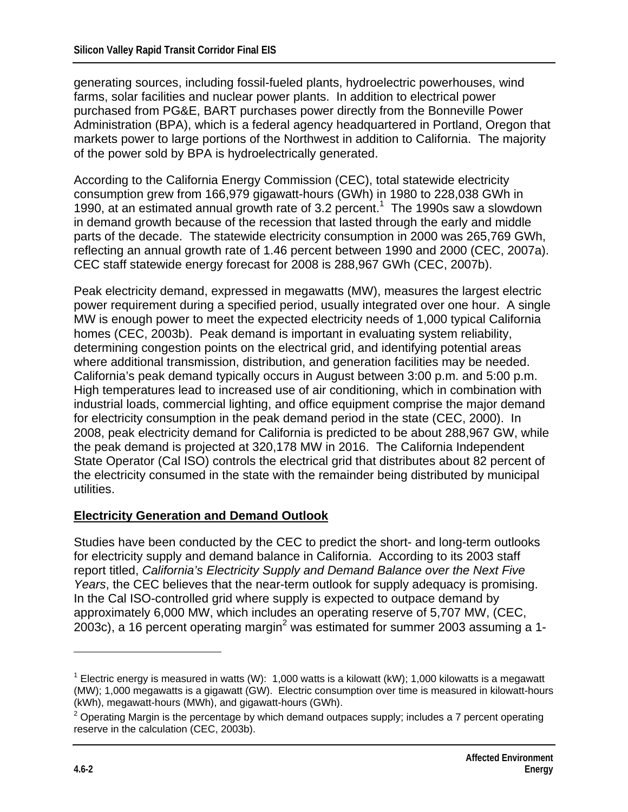generating sources, including fossil-fueled plants, hydroelectric powerhouses, wind farms, solar facilities and nuclear power plants. In addition to electrical power purchased from PG&E, BART purchases power directly from the Bonneville Power Administration (BPA), which is a federal agency headquartered in Portland, Oregon that markets power to large portions of the Northwest in addition to California. The majority of the power sold by BPA is hydroelectrically generated.

According to the California Energy Commission (CEC), total statewide electricity consumption grew from 166,979 gigawatt-hours (GWh) in 1980 to 228,038 GWh in 1990, at an estimated annual growth rate of 3.2 percent.<sup>1</sup> The 1990s saw a slowdown in demand growth because of the recession that lasted through the early and middle parts of the decade. The statewide electricity consumption in 2000 was 265,769 GWh, reflecting an annual growth rate of 1.46 percent between 1990 and 2000 (CEC, 2007a). CEC staff statewide energy forecast for 2008 is 288,967 GWh (CEC, 2007b).

Peak electricity demand, expressed in megawatts (MW), measures the largest electric power requirement during a specified period, usually integrated over one hour. A single MW is enough power to meet the expected electricity needs of 1,000 typical California homes (CEC, 2003b). Peak demand is important in evaluating system reliability, determining congestion points on the electrical grid, and identifying potential areas where additional transmission, distribution, and generation facilities may be needed. California's peak demand typically occurs in August between 3:00 p.m. and 5:00 p.m. High temperatures lead to increased use of air conditioning, which in combination with industrial loads, commercial lighting, and office equipment comprise the major demand for electricity consumption in the peak demand period in the state (CEC, 2000). In 2008, peak electricity demand for California is predicted to be about 288,967 GW, while the peak demand is projected at 320,178 MW in 2016. The California Independent State Operator (Cal ISO) controls the electrical grid that distributes about 82 percent of the electricity consumed in the state with the remainder being distributed by municipal utilities.

#### **Electricity Generation and Demand Outlook**

Studies have been conducted by the CEC to predict the short- and long-term outlooks for electricity supply and demand balance in California. According to its 2003 staff report titled, *California's Electricity Supply and Demand Balance over the Next Five Years*, the CEC believes that the near-term outlook for supply adequacy is promising. In the Cal ISO-controlled grid where supply is expected to outpace demand by approximately 6,000 MW, which includes an operating reserve of 5,707 MW, (CEC, 2003c), a 16 percent operating margin<sup>2</sup> was estimated for summer 2003 assuming a 1-

 $\overline{a}$ 

<sup>&</sup>lt;sup>1</sup> Electric energy is measured in watts (W): 1,000 watts is a kilowatt (kW); 1,000 kilowatts is a megawatt (MW); 1,000 megawatts is a gigawatt (GW). Electric consumption over time is measured in kilowatt-hours (kWh), megawatt-hours (MWh), and gigawatt-hours (GWh).

<sup>&</sup>lt;sup>2</sup> Operating Margin is the percentage by which demand outpaces supply; includes a 7 percent operating reserve in the calculation (CEC, 2003b).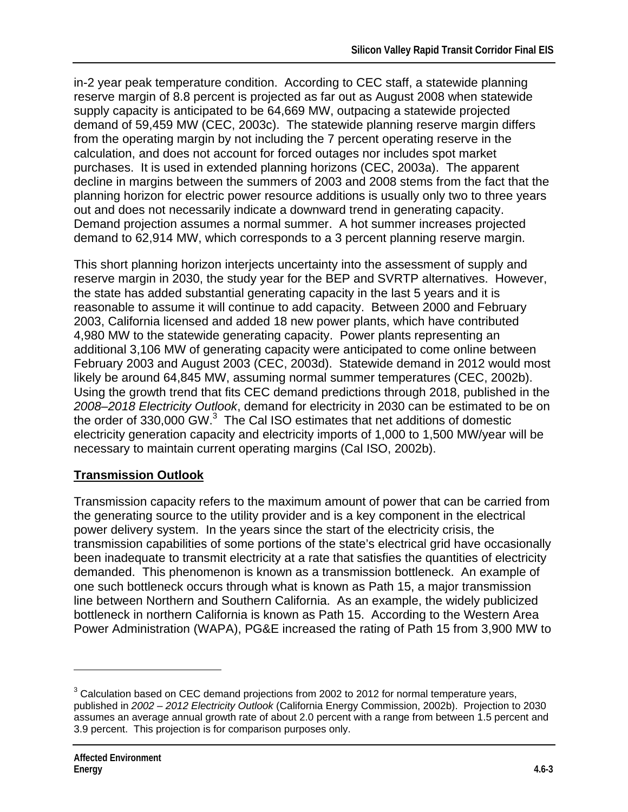in-2 year peak temperature condition. According to CEC staff, a statewide planning reserve margin of 8.8 percent is projected as far out as August 2008 when statewide supply capacity is anticipated to be 64,669 MW, outpacing a statewide projected demand of 59,459 MW (CEC, 2003c). The statewide planning reserve margin differs from the operating margin by not including the 7 percent operating reserve in the calculation, and does not account for forced outages nor includes spot market purchases. It is used in extended planning horizons (CEC, 2003a). The apparent decline in margins between the summers of 2003 and 2008 stems from the fact that the planning horizon for electric power resource additions is usually only two to three years out and does not necessarily indicate a downward trend in generating capacity. Demand projection assumes a normal summer. A hot summer increases projected demand to 62,914 MW, which corresponds to a 3 percent planning reserve margin.

This short planning horizon interjects uncertainty into the assessment of supply and reserve margin in 2030, the study year for the BEP and SVRTP alternatives. However, the state has added substantial generating capacity in the last 5 years and it is reasonable to assume it will continue to add capacity. Between 2000 and February 2003, California licensed and added 18 new power plants, which have contributed 4,980 MW to the statewide generating capacity. Power plants representing an additional 3,106 MW of generating capacity were anticipated to come online between February 2003 and August 2003 (CEC, 2003d). Statewide demand in 2012 would most likely be around 64,845 MW, assuming normal summer temperatures (CEC, 2002b). Using the growth trend that fits CEC demand predictions through 2018, published in the *2008–2018 Electricity Outlook*, demand for electricity in 2030 can be estimated to be on the order of 330,000 GW. $3$  The Cal ISO estimates that net additions of domestic electricity generation capacity and electricity imports of 1,000 to 1,500 MW/year will be necessary to maintain current operating margins (Cal ISO, 2002b).

#### **Transmission Outlook**

Transmission capacity refers to the maximum amount of power that can be carried from the generating source to the utility provider and is a key component in the electrical power delivery system. In the years since the start of the electricity crisis, the transmission capabilities of some portions of the state's electrical grid have occasionally been inadequate to transmit electricity at a rate that satisfies the quantities of electricity demanded. This phenomenon is known as a transmission bottleneck. An example of one such bottleneck occurs through what is known as Path 15, a major transmission line between Northern and Southern California. As an example, the widely publicized bottleneck in northern California is known as Path 15. According to the Western Area Power Administration (WAPA), PG&E increased the rating of Path 15 from 3,900 MW to

 $\overline{a}$ 

 $3$  Calculation based on CEC demand projections from 2002 to 2012 for normal temperature years, published in *2002 – 2012 Electricity Outlook* (California Energy Commission, 2002b). Projection to 2030 assumes an average annual growth rate of about 2.0 percent with a range from between 1.5 percent and 3.9 percent. This projection is for comparison purposes only.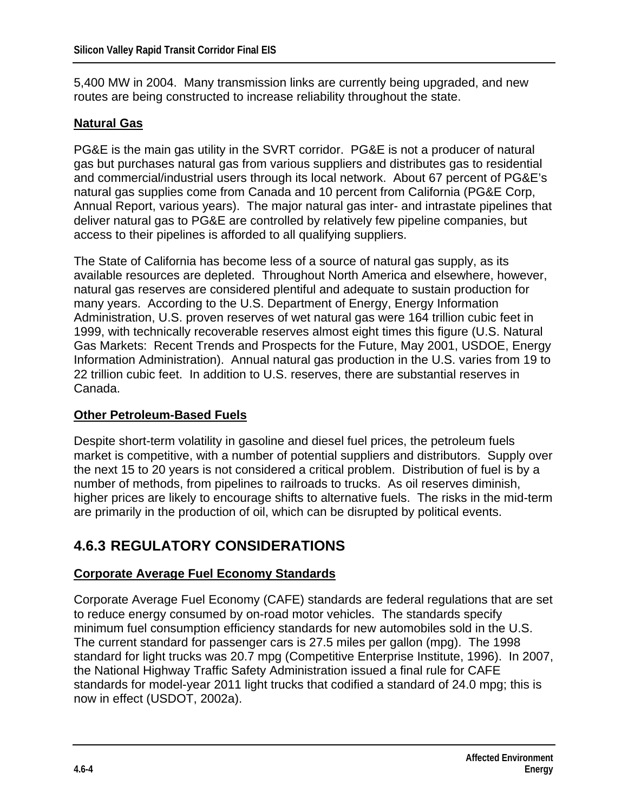5,400 MW in 2004. Many transmission links are currently being upgraded, and new routes are being constructed to increase reliability throughout the state.

#### **Natural Gas**

PG&E is the main gas utility in the SVRT corridor. PG&E is not a producer of natural gas but purchases natural gas from various suppliers and distributes gas to residential and commercial/industrial users through its local network. About 67 percent of PG&E's natural gas supplies come from Canada and 10 percent from California (PG&E Corp, Annual Report, various years). The major natural gas inter- and intrastate pipelines that deliver natural gas to PG&E are controlled by relatively few pipeline companies, but access to their pipelines is afforded to all qualifying suppliers.

The State of California has become less of a source of natural gas supply, as its available resources are depleted. Throughout North America and elsewhere, however, natural gas reserves are considered plentiful and adequate to sustain production for many years. According to the U.S. Department of Energy, Energy Information Administration, U.S. proven reserves of wet natural gas were 164 trillion cubic feet in 1999, with technically recoverable reserves almost eight times this figure (U.S. Natural Gas Markets: Recent Trends and Prospects for the Future, May 2001, USDOE, Energy Information Administration). Annual natural gas production in the U.S. varies from 19 to 22 trillion cubic feet. In addition to U.S. reserves, there are substantial reserves in Canada.

#### **Other Petroleum-Based Fuels**

Despite short-term volatility in gasoline and diesel fuel prices, the petroleum fuels market is competitive, with a number of potential suppliers and distributors. Supply over the next 15 to 20 years is not considered a critical problem. Distribution of fuel is by a number of methods, from pipelines to railroads to trucks. As oil reserves diminish, higher prices are likely to encourage shifts to alternative fuels. The risks in the mid-term are primarily in the production of oil, which can be disrupted by political events.

### **4.6.3 REGULATORY CONSIDERATIONS**

#### **Corporate Average Fuel Economy Standards**

Corporate Average Fuel Economy (CAFE) standards are federal regulations that are set to reduce energy consumed by on-road motor vehicles. The standards specify minimum fuel consumption efficiency standards for new automobiles sold in the U.S. The current standard for passenger cars is 27.5 miles per gallon (mpg). The 1998 standard for light trucks was 20.7 mpg (Competitive Enterprise Institute, 1996). In 2007, the National Highway Traffic Safety Administration issued a final rule for CAFE standards for model-year 2011 light trucks that codified a standard of 24.0 mpg; this is now in effect (USDOT, 2002a).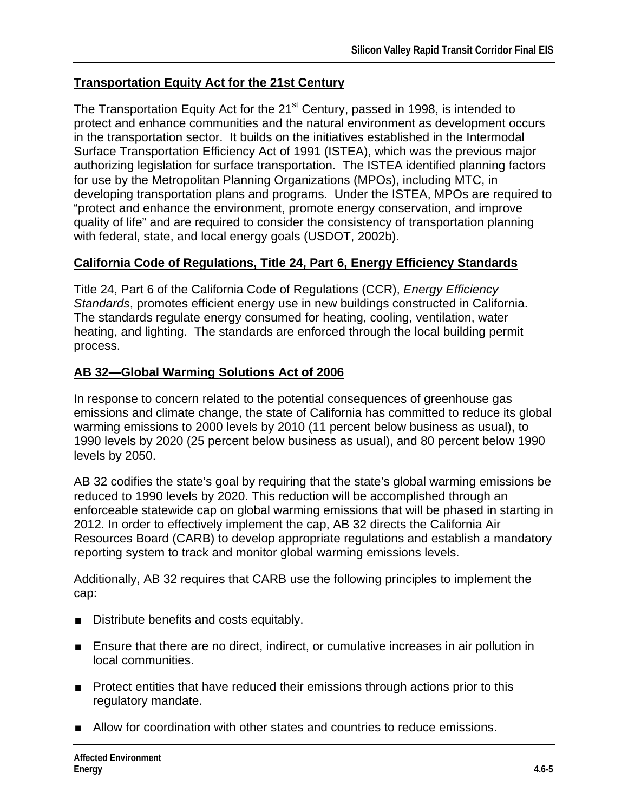#### **Transportation Equity Act for the 21st Century**

The Transportation Equity Act for the 21<sup>st</sup> Century, passed in 1998, is intended to protect and enhance communities and the natural environment as development occurs in the transportation sector. It builds on the initiatives established in the Intermodal Surface Transportation Efficiency Act of 1991 (ISTEA), which was the previous major authorizing legislation for surface transportation. The ISTEA identified planning factors for use by the Metropolitan Planning Organizations (MPOs), including MTC, in developing transportation plans and programs. Under the ISTEA, MPOs are required to "protect and enhance the environment, promote energy conservation, and improve quality of life" and are required to consider the consistency of transportation planning with federal, state, and local energy goals (USDOT, 2002b).

#### **California Code of Regulations, Title 24, Part 6, Energy Efficiency Standards**

Title 24, Part 6 of the California Code of Regulations (CCR), *Energy Efficiency Standards*, promotes efficient energy use in new buildings constructed in California. The standards regulate energy consumed for heating, cooling, ventilation, water heating, and lighting. The standards are enforced through the local building permit process.

#### **AB 32—Global Warming Solutions Act of 2006**

In response to concern related to the potential consequences of greenhouse gas emissions and climate change, the state of California has committed to reduce its global warming emissions to 2000 levels by 2010 (11 percent below business as usual), to 1990 levels by 2020 (25 percent below business as usual), and 80 percent below 1990 levels by 2050.

AB 32 codifies the state's goal by requiring that the state's global warming emissions be reduced to 1990 levels by 2020. This reduction will be accomplished through an enforceable statewide cap on global warming emissions that will be phased in starting in 2012. In order to effectively implement the cap, AB 32 directs the California Air Resources Board (CARB) to develop appropriate regulations and establish a mandatory reporting system to track and monitor global warming emissions levels.

Additionally, AB 32 requires that CARB use the following principles to implement the cap:

- Distribute benefits and costs equitably.
- Ensure that there are no direct, indirect, or cumulative increases in air pollution in local communities.
- Protect entities that have reduced their emissions through actions prior to this regulatory mandate.
- Allow for coordination with other states and countries to reduce emissions.